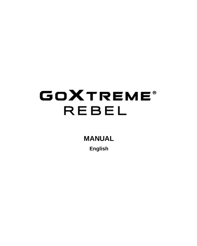# **GOXTREME® REBEL**

**MANUAL**

**English**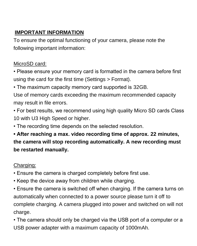# **IMPORTANT INFORMATION**

To ensure the optimal functioning of your camera, please note the following important information:

# MicroSD card:

- Please ensure your memory card is formatted in the camera before first using the card for the first time (Settings > Format).
- The maximum capacity memory card supported is 32GB.

Use of memory cards exceeding the maximum recommended capacity may result in file errors.

- For best results, we recommend using high quality Micro SD cards Class 10 with U3 High Speed or higher.
- The recording time depends on the selected resolution.

**• After reaching a max. video recording time of approx. 22 minutes, the camera will stop recording automatically. A new recording must be restarted manually.**

# Charging:

- Ensure the camera is charged completely before first use.
- Keep the device away from children while charging.
- Ensure the camera is switched off when charging. If the camera turns on automatically when connected to a power source please turn it off to complete charging. A camera plugged into power and switched on will not charge.
- The camera should only be charged via the USB port of a computer or a USB power adapter with a maximum capacity of 1000mAh.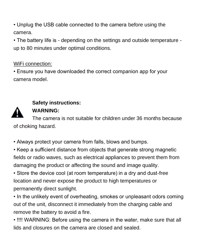• Unplug the USB cable connected to the camera before using the camera.

• The battery life is - depending on the settings and outside temperature up to 80 minutes under optimal conditions.

# WiFi connection:

• Ensure you have downloaded the correct companion app for your camera model.



# **Safety instructions:**

# **WARNING:**

The camera is not suitable for children under 36 months because of choking hazard.

• Always protect your camera from falls, blows and bumps.

• Keep a sufficient distance from objects that generate strong magnetic fields or radio waves, such as electrical appliances to prevent them from damaging the product or affecting the sound and image quality.

• Store the device cool (at room temperature) in a dry and dust-free location and never expose the product to high temperatures or permanently direct sunlight.

• In the unlikely event of overheating, smokes or unpleasant odors coming out of the unit, disconnect it immediately from the charging cable and remove the battery to avoid a fire.

• !!!! WARNING: Before using the camera in the water, make sure that all lids and closures on the camera are closed and sealed.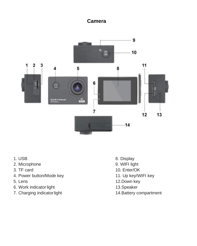# **Camera**



- 1. USB
- 2. Microphone
- 3. TF card
- 4. Power button/Mode key
- 5. Lens
- 6. Work indicator light
- 7. Charging indicatorlight
- 8. Display
- 9. WIFI light
- 10. Enter/OK
- 11. Up key/WIFI key
- 12.Down key
- 13.Speaker
- 14.Battery compartment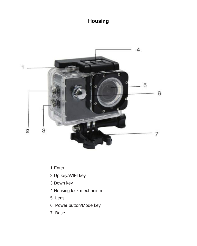# **Housing**



- 1.Enter
- 2.Up key/WIFI key
- 3.Down key
- 4.Housing lock mechanism
- 5. Lens
- 6. Power button/Mode key
- 7. Base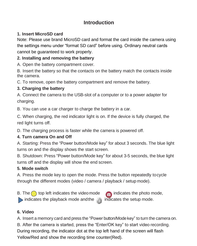# **Introduction**

## **1. Insert MicroSD card**

Note: Please use brand MicroSD card and format the card inside the camera using the settings menu under "format SD card" before using. Ordinary neutral cards cannot be guaranteed to work properly.

# **2. Installing and removing the battery**

A. Open the battery compartment cover.

B. Insert the battery so that the contacts on the battery match the contacts inside the camera.

C. To remove, open the battery compartment and remove the battery.

## **3. Charging the battery**

A. Connect the camera to the USB-slot of a computer or to a power adapter for charging.

B. You can use a car charger to charge the battery in a car.

C. When charging, the red indicator light is on. If the device is fully charged, the red light turns off.

D. The charging process is faster while the camera is powered off.

# **4. Turn camera On and Off**

A. Starting: Press the "Power button/Mode key" for about 3 seconds. The blue light turns on and the display shows the start screen.

B. Shutdown: Press "Power button/Mode key" for about 3-5 seconds, the blue light turns off and the display will show the end screen.

## **5. Mode switch**

A. Press the mode key to open the mode. Press the button repeatedly tocycle through the different modes (video / camera / playback / setup mode).

B. The  $\bigcap$  top left indicates the videomode  $\bigcap$  indicates the photo mode, indicates the playback mode and the indicates the setup mode.



# **6. Video**

A. Insert a memory card and press the "Power button/Modekey" to turn the camera on.

B. After the camera is started, press the "Enter/OK key" to start video recording.

During recording, the indicator dot at the top left hand of the screen will flash Yellow/Red and show the recording time counter(Red).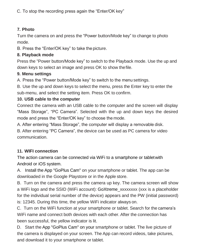C. To stop the recording press again the "Enter/OK key"

#### **7. Photo**

Turn the camera on and press the "Power button/Mode key" to change to photo mode.

B. Press the "Enter/OK key" to take the picture.

#### **8. Playback mode**

Press the "Power button/Mode key" to switch to the Playback mode. Use the up and down keys to select an image and press OK to show thefile.

#### **9. Menu settings**

A. Press the "Power button/Mode key" to switch to the menu settings.

B. Use the up and down keys to select the menu, press the Enter key to enter the sub-menu, and select the setting item. Press OK to confirm.

#### **10. USB cable to the computer**

Connect the camera with an USB cable to the computer and the screen will display "Mass Storage", "PC Camera". Selected with the up and down keys the desired mode and press the "Enter/OK key" to choose the mode.

A. After entering "Mass Storage", the computer will display a removable disk.

B. After entering "PC Camera", the device can be used as PC camera for video communication.

## **11. WIFI connection**

The action camera can be connected via WiFi to a smartphone or tabletwith Android or iOS system.

A. Install the App "GoPlus Cam" on your smartphone or tablet. The app can be downloaded in the Google Playstore or in the Apple store.

B. Turn on the camera and press the camera up key. The camera screen will show a WiFi logo and the SSID (WiFi account): GoXtreme\_xxxxxxxx (xxx is a placeholder for the individual serial number of the device) appears and the PW (initial password) is: 12345. During this time, the yellow WiFi indicator always on.

C. Turn on the WiFi function at your smartphone or tablet. Search for the camera's WiFi name and connect both devices with each other. After the connection has been successful, the yellow indicator is lit.

D. Start the App "GoPlus Cam" on your smartphone or tablet. The live picture of the camera is displayed on your screen. The App can record videos, take pictures, and download it to your smartphone or tablet.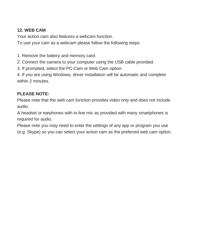## **12. WEB CAM**

Your action cam also features a webcam function. To use your cam as a webcam please follow the following steps:

1. Remove the battery and memory card.

2. Connect the camera to your computer using the USB cable provided.

3. If prompted, select the PC-Cam or Web Cam option.

4. If you are using Windows, driver installation will be automatic and complete within 2 minutes.

### **PLEASE NOTE:**

Please note that the web cam function provides video only and does not include audio.

A headset or earphones with in-line mic as provided with many smartphones is required for audio.

Please note you may need to enter the settings of any app or program you use (e.g. Skype) so you can select your action cam as the preferred web cam option.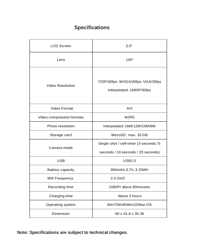# **Specifications**

| LCD Screen                | 20 <sup>°</sup>                                                               |
|---------------------------|-------------------------------------------------------------------------------|
| I ens                     | $140^\circ$                                                                   |
| Video Resolution          | 720P/30fps; WVGA/30fps; VGA/30fps<br>Interpolated: 1080P/30fps                |
| Video Format              | AVI                                                                           |
| Video compression formats | M.IPG                                                                         |
| Photo resolution          | Interpolated: 16M/12M/10M/8M                                                  |
| Storage card              | MicroSD, max, 32 GB                                                           |
| Camera mode               | Single shot / self-timer (3 seconds / 5<br>seconds / 10 seconds / 20 seconds) |
| USB                       | <b>USB2.0</b>                                                                 |
| Battery capacity          | 900mAh, 3.7V, 3.33Wh                                                          |
| Wifi Frwquency            | 2.4 GHZ                                                                       |
| Recording time            | 1080P/ about 80minutes                                                        |
| Charging time             | About 3 hours                                                                 |
| Operating system          | Win7/Win8/Win10/MacOS                                                         |
| Dimension                 | 60 x 41.8 x 30.36                                                             |

**Note: Specifications are subject to technical changes.**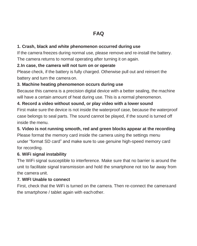## **1. Crash, black and white phenomenon occurred during use**

If the camera freezes during normal use, please remove and re-install the battery. The camera returns to normal operating after turning it on again.

#### **2.In case, the camera will not turn on or operate**

Please check, if the battery is fully charged. Otherwise pull out and reinsert the battery and turn the camera on.

#### **3. Machine heating phenomenon occurs during use**

Because this camera is a precision digital device with a better sealing, the machine will have a certain amount of heat during use. This is a normal phenomenon.

#### **4. Record a video without sound, or play video with a lower sound**

First make sure the device is not inside the waterproof case, because the waterproof case belongs to seal parts. The sound cannot be played, if the sound is turned off inside the menu.

#### **5. Video is not running smooth, red and green blocks appear at the recording**

Please format the memory card inside the camera using the settings menu under "format SD card" and make sure to use genuine high-speed memory card for recording.

#### **6. WiFi signal instability**

The WiFi signal susceptible to interference. Make sure that no barrier is around the unit to facilitate signal transmission and hold the smartphone not too far away from the camera unit.

### **7. WIFI Unable to connect**

First, check that the WiFi is turned on the camera. Then re-connect the cameraand the smartphone / tablet again with eachother.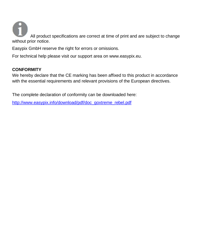All product specifications are correct at time of print and are subject to change without prior notice.

Easypix GmbH reserve the right for errors or omissions.

For technical help please visit our support area on www.easypix.eu.

#### **CONFORMITY**

We hereby declare that the CE marking has been affixed to this product in accordance with the essential requirements and relevant provisions of the European directives.

The complete declaration of conformity can be downloaded here:

[http://www.easypix.info/download/pdf/doc\\_goxtreme\\_rebel.pdf](http://www.easypix.info/download/pdf/doc_goxtreme_rebel.pdf)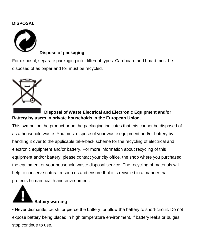#### **DISPOSAL**



**Dispose of packaging**

For disposal, separate packaging into different types. Cardboard and board must be disposed of as paper and foil must be recycled.



# **Disposal of Waste Electrical and Electronic Equipment and/or Battery by users in private households in the European Union.**

This symbol on the product or on the packaging indicates that this cannot be disposed of as a household waste. You must dispose of your waste equipment and/or battery by handling it over to the applicable take-back scheme for the recycling of electrical and electronic equipment and/or battery. For more information about recycling of this equipment and/or battery, please contact your city office, the shop where you purchased the equipment or your household waste disposal service. The recycling of materials will help to conserve natural resources and ensure that it is recycled in a manner that protects human health and environment.



• Never dismantle, crush, or pierce the battery, or allow the battery to short-circuit. Do not expose battery being placed in high temperature environment, if battery leaks or bulges, stop continue to use.